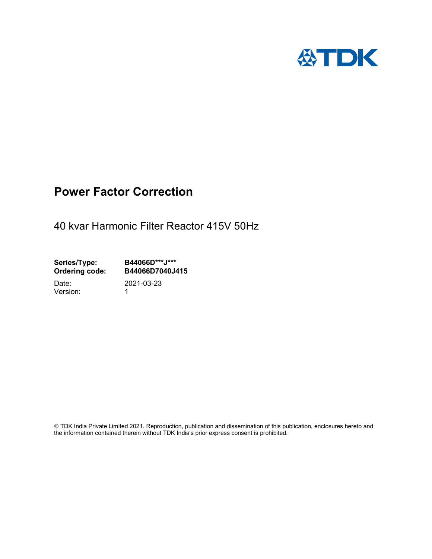

## Power Factor Correction

40 kvar Harmonic Filter Reactor 415V 50Hz

Series/Type: B44066D\*\*\*J\*\*\*<br>Ordering code: B44066D7040J4 B44066D7040J415

Version: 1

Date: 2021-03-23

 TDK India Private Limited 2021. Reproduction, publication and dissemination of this publication, enclosures hereto and the information contained therein without TDK India's prior express consent is prohibited.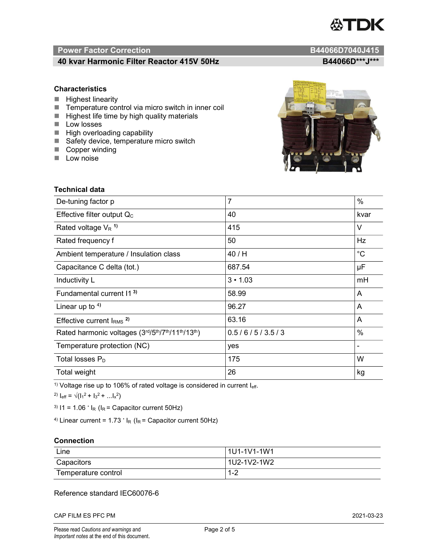# TDK

### Power Factor Correction and Content of the Content of the B44066D7040J415

#### 40 kvar Harmonic Filter Reactor 415V 50Hz B44066D\*\*\*J\*\*\*

#### **Characteristics**

- $\blacksquare$  Highest linearity
- Temperature control via micro switch in inner coil
- $\blacksquare$  Highest life time by high quality materials
- **Low losses**
- $\blacksquare$  High overloading capability
- Safety device, temperature micro switch
- Copper winding
- **Low noise**



| Technical data                                  |                |             |  |  |
|-------------------------------------------------|----------------|-------------|--|--|
| De-tuning factor p                              | $\overline{7}$ | %           |  |  |
| Effective filter output $Q_C$                   | 40             | kvar        |  |  |
| Rated voltage $V_R$ <sup>1)</sup>               | 415            | V           |  |  |
| Rated frequency f                               | 50             | Hz          |  |  |
| Ambient temperature / Insulation class          | 40 / H         | $^{\circ}C$ |  |  |
| Capacitance C delta (tot.)                      | 687.54         | μF          |  |  |
| Inductivity L                                   | $3 \cdot 1.03$ | mH          |  |  |
| Fundamental current 11 <sup>3)</sup>            | 58.99          | A           |  |  |
| Linear up to $4$ )                              | 96.27          | A           |  |  |
| Effective current $IRMS$ <sup>2)</sup>          | 63.16          | A           |  |  |
| Rated harmonic voltages (3rd/5th/7th/11th/13th) | 0.5/6/5/3.5/3  | %           |  |  |
| Temperature protection (NC)                     | yes            |             |  |  |
| Total losses $P_D$                              | 175            | W           |  |  |
| Total weight                                    | 26             | kg          |  |  |

<sup>1)</sup> Voltage rise up to 106% of rated voltage is considered in current  $I_{\text{eff}}$ .

<sup>2)</sup>  $I_{eff} = \sqrt{(I_1^2 + I_3^2 + ... I_x^2)}$ 

<sup>3)</sup>  $11 = 1.06$   $\cdot$   $I_R$  ( $I_R$  = Capacitor current 50Hz)

<sup>4)</sup> Linear current =  $1.73$   $\cdot$  I<sub>R</sub> (I<sub>R</sub> = Capacitor current 50Hz)

#### **Connection**

| Line                | l 1U1-1V1-1W1 |
|---------------------|---------------|
| Capacitors          | l 1U2-1V2-1W2 |
| Temperature control | 1 O<br>ے- ا   |

#### Reference standard IEC60076-6

CAP FILM ES PFC PM 2021-03-23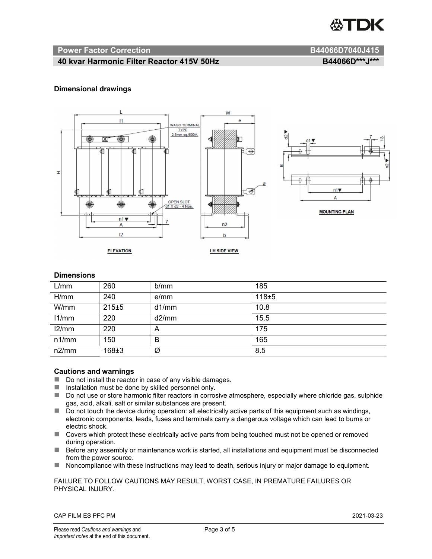

#### Power Factor Correction and B44066D7040J415

#### 40 kvar Harmonic Filter Reactor 415V 50Hz B44066D\*\*\*J\*\*\*

#### Dimensional drawings



#### **Dimensions**

| L/mm  | 260       | b/mm  | 185   |
|-------|-----------|-------|-------|
| H/mm  | 240       | e/mm  | 118±5 |
| W/mm  | 215±5     | d1/mm | 10.8  |
| 11/mm | 220       | d2/mm | 15.5  |
| 12/mm | 220       | A     | 175   |
| n1/mm | 150       | B     | 165   |
| n2/mm | $168 + 3$ | Ø     | 8.5   |

#### Cautions and warnings

- Do not install the reactor in case of any visible damages.
- $\blacksquare$  Installation must be done by skilled personnel only.
- Do not use or store harmonic filter reactors in corrosive atmosphere, especially where chloride gas, sulphide gas, acid, alkali, salt or similar substances are present.
- Do not touch the device during operation: all electrically active parts of this equipment such as windings, electronic components, leads, fuses and terminals carry a dangerous voltage which can lead to burns or electric shock.
- Covers which protect these electrically active parts from being touched must not be opened or removed during operation.
- Before any assembly or maintenance work is started, all installations and equipment must be disconnected from the power source.
- Noncompliance with these instructions may lead to death, serious injury or major damage to equipment.

FAILURE TO FOLLOW CAUTIONS MAY RESULT, WORST CASE, IN PREMATURE FAILURES OR PHYSICAL INJURY.

CAP FILM ES PFC PM 2021-03-23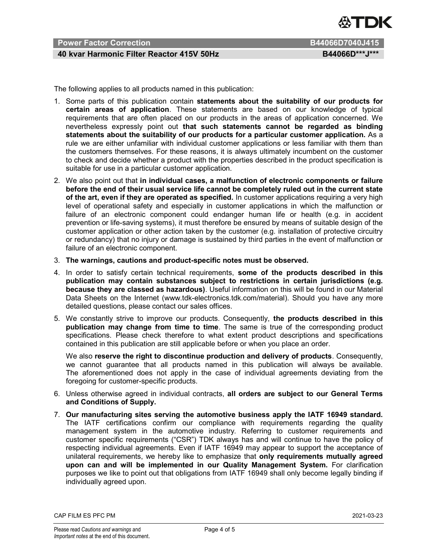

#### Power Factor Correction **B44066D7040J415**

#### 40 kvar Harmonic Filter Reactor 415V 50Hz B44066D\*\*\*J\*\*\*

The following applies to all products named in this publication:

- 1. Some parts of this publication contain statements about the suitability of our products for certain areas of application. These statements are based on our knowledge of typical requirements that are often placed on our products in the areas of application concerned. We nevertheless expressly point out that such statements cannot be regarded as binding statements about the suitability of our products for a particular customer application. As a rule we are either unfamiliar with individual customer applications or less familiar with them than the customers themselves. For these reasons, it is always ultimately incumbent on the customer to check and decide whether a product with the properties described in the product specification is suitable for use in a particular customer application.
- 2. We also point out that in individual cases, a malfunction of electronic components or failure before the end of their usual service life cannot be completely ruled out in the current state of the art, even if they are operated as specified. In customer applications requiring a very high level of operational safety and especially in customer applications in which the malfunction or failure of an electronic component could endanger human life or health (e.g. in accident prevention or life-saving systems), it must therefore be ensured by means of suitable design of the customer application or other action taken by the customer (e.g. installation of protective circuitry or redundancy) that no injury or damage is sustained by third parties in the event of malfunction or failure of an electronic component.
- 3. The warnings, cautions and product-specific notes must be observed.
- 4. In order to satisfy certain technical requirements, some of the products described in this publication may contain substances subject to restrictions in certain jurisdictions (e.g. because they are classed as hazardous). Useful information on this will be found in our Material Data Sheets on the Internet (www.tdk-electronics.tdk.com/material). Should you have any more detailed questions, please contact our sales offices.
- 5. We constantly strive to improve our products. Consequently, the products described in this publication may change from time to time. The same is true of the corresponding product specifications. Please check therefore to what extent product descriptions and specifications contained in this publication are still applicable before or when you place an order.

We also reserve the right to discontinue production and delivery of products. Consequently, we cannot guarantee that all products named in this publication will always be available. The aforementioned does not apply in the case of individual agreements deviating from the foregoing for customer-specific products.

- 6. Unless otherwise agreed in individual contracts, all orders are subject to our General Terms and Conditions of Supply.
- 7. Our manufacturing sites serving the automotive business apply the IATF 16949 standard. The IATF certifications confirm our compliance with requirements regarding the quality management system in the automotive industry. Referring to customer requirements and customer specific requirements ("CSR") TDK always has and will continue to have the policy of respecting individual agreements. Even if IATF 16949 may appear to support the acceptance of unilateral requirements, we hereby like to emphasize that only requirements mutually agreed upon can and will be implemented in our Quality Management System. For clarification purposes we like to point out that obligations from IATF 16949 shall only become legally binding if individually agreed upon.